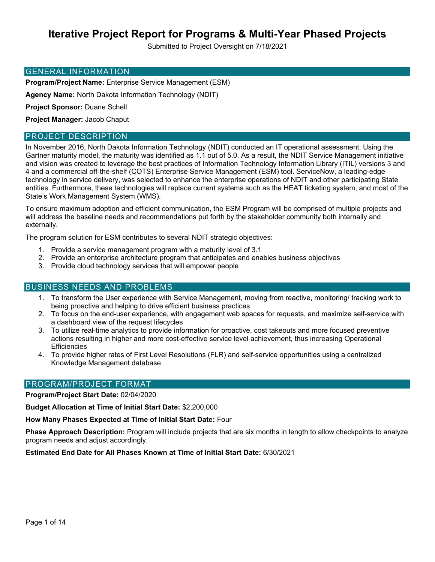# **Iterative Project Report for Programs & Multi-Year Phased Projects**

Submitted to Project Oversight on 7/18/2021

#### GENERAL INFORMATION

**Program/Project Name:** Enterprise Service Management (ESM)

**Agency Name:** North Dakota Information Technology (NDIT)

**Project Sponsor:** Duane Schell

**Project Manager:** Jacob Chaput

#### PROJECT DESCRIPTION

In November 2016, North Dakota Information Technology (NDIT) conducted an IT operational assessment. Using the Gartner maturity model, the maturity was identified as 1.1 out of 5.0. As a result, the NDIT Service Management initiative and vision was created to leverage the best practices of Information Technology Information Library (ITIL) versions 3 and 4 and a commercial off-the-shelf (COTS) Enterprise Service Management (ESM) tool. ServiceNow, a leading-edge technology in service delivery, was selected to enhance the enterprise operations of NDIT and other participating State entities. Furthermore, these technologies will replace current systems such as the HEAT ticketing system, and most of the State's Work Management System (WMS).

To ensure maximum adoption and efficient communication, the ESM Program will be comprised of multiple projects and will address the baseline needs and recommendations put forth by the stakeholder community both internally and externally.

The program solution for ESM contributes to several NDIT strategic objectives:

- 1. Provide a service management program with a maturity level of 3.1
- 2. Provide an enterprise architecture program that anticipates and enables business objectives
- 3. Provide cloud technology services that will empower people

#### BUSINESS NEEDS AND PROBLEMS

- 1. To transform the User experience with Service Management, moving from reactive, monitoring/ tracking work to being proactive and helping to drive efficient business practices
- 2. To focus on the end-user experience, with engagement web spaces for requests, and maximize self-service with a dashboard view of the request lifecycles
- 3. To utilize real-time analytics to provide information for proactive, cost takeouts and more focused preventive actions resulting in higher and more cost-effective service level achievement, thus increasing Operational **Efficiencies**
- 4. To provide higher rates of First Level Resolutions (FLR) and self-service opportunities using a centralized Knowledge Management database

#### PROGRAM/PROJECT FORMAT

**Program/Project Start Date:** 02/04/2020

**Budget Allocation at Time of Initial Start Date:** \$2,200,000

**How Many Phases Expected at Time of Initial Start Date:** Four

**Phase Approach Description:** Program will include projects that are six months in length to allow checkpoints to analyze program needs and adjust accordingly.

**Estimated End Date for All Phases Known at Time of Initial Start Date:** 6/30/2021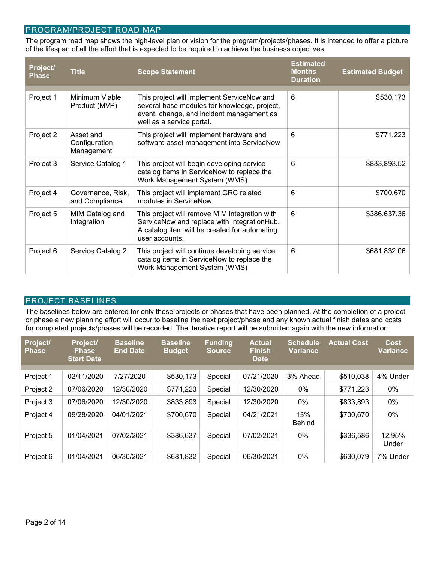### PROGRAM/PROJECT ROAD MAP

The program road map shows the high-level plan or vision for the program/projects/phases. It is intended to offer a picture of the lifespan of all the effort that is expected to be required to achieve the business objectives.

| Project/<br><b>Phase</b> | <b>Title</b>                             | <b>Scope Statement</b>                                                                                                                                               | <b>Estimated</b><br><b>Months</b><br><b>Duration</b> | <b>Estimated Budget</b> |
|--------------------------|------------------------------------------|----------------------------------------------------------------------------------------------------------------------------------------------------------------------|------------------------------------------------------|-------------------------|
| Project 1                | Minimum Viable<br>Product (MVP)          | This project will implement ServiceNow and<br>several base modules for knowledge, project,<br>event, change, and incident management as<br>well as a service portal. | 6                                                    | \$530,173               |
| Project 2                | Asset and<br>Configuration<br>Management | This project will implement hardware and<br>software asset management into ServiceNow                                                                                | 6                                                    | \$771,223               |
| Project 3                | Service Catalog 1                        | This project will begin developing service<br>catalog items in ServiceNow to replace the<br>Work Management System (WMS)                                             | 6                                                    | \$833,893.52            |
| Project 4                | Governance, Risk,<br>and Compliance      | This project will implement GRC related<br>modules in ServiceNow                                                                                                     | 6                                                    | \$700,670               |
| Project 5                | MIM Catalog and<br>Integration           | This project will remove MIM integration with<br>ServiceNow and replace with IntegrationHub.<br>A catalog item will be created for automating<br>user accounts.      | 6                                                    | \$386,637.36            |
| Project 6                | Service Catalog 2                        | This project will continue developing service<br>catalog items in ServiceNow to replace the<br>Work Management System (WMS)                                          | 6                                                    | \$681,832.06            |

#### PROJECT BASELINES

The baselines below are entered for only those projects or phases that have been planned. At the completion of a project or phase a new planning effort will occur to baseline the next project/phase and any known actual finish dates and costs for completed projects/phases will be recorded. The iterative report will be submitted again with the new information.

| <b>Project/</b><br><b>Phase</b> | Project/<br><b>Phase</b><br><b>Start Date</b> | <b>Baseline</b><br><b>End Date</b> | <b>Baseline</b><br><b>Budget</b> | <b>Funding</b><br>Source, | <b>Actual</b><br><b>Finish</b><br><b>Date</b> | <b>Schedule</b><br><b>Variance</b> | <b>Actual Cost</b> | Cost<br><b>Variance</b> |
|---------------------------------|-----------------------------------------------|------------------------------------|----------------------------------|---------------------------|-----------------------------------------------|------------------------------------|--------------------|-------------------------|
|                                 |                                               |                                    |                                  |                           |                                               |                                    |                    |                         |
| Project 1                       | 02/11/2020                                    | 7/27/2020                          | \$530,173                        | Special                   | 07/21/2020                                    | 3% Ahead                           | \$510,038          | 4% Under                |
| Project 2                       | 07/06/2020                                    | 12/30/2020                         | \$771,223                        | Special                   | 12/30/2020                                    | 0%                                 | \$771,223          | 0%                      |
| Project 3                       | 07/06/2020                                    | 12/30/2020                         | \$833,893                        | Special                   | 12/30/2020                                    | 0%                                 | \$833,893          | 0%                      |
| Project 4                       | 09/28/2020                                    | 04/01/2021                         | \$700,670                        | Special                   | 04/21/2021                                    | 13%<br><b>Behind</b>               | \$700,670          | $0\%$                   |
| Project 5                       | 01/04/2021                                    | 07/02/2021                         | \$386,637                        | Special                   | 07/02/2021                                    | $0\%$                              | \$336,586          | 12.95%<br>Under         |
| Project 6                       | 01/04/2021                                    | 06/30/2021                         | \$681,832                        | Special                   | 06/30/2021                                    | $0\%$                              | \$630,079          | 7% Under                |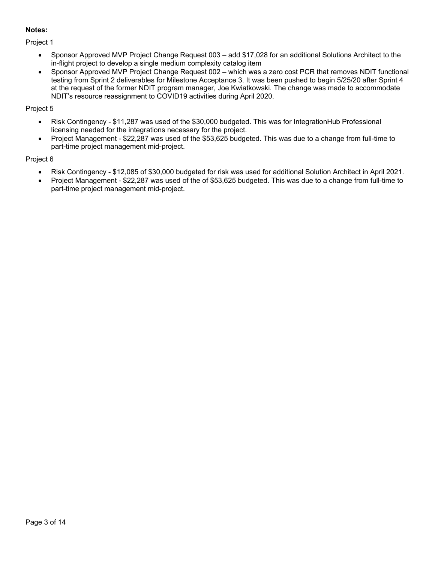### **Notes:**

Project 1

- Sponsor Approved MVP Project Change Request 003 add \$17,028 for an additional Solutions Architect to the in-flight project to develop a single medium complexity catalog item
- Sponsor Approved MVP Project Change Request 002 which was a zero cost PCR that removes NDIT functional testing from Sprint 2 deliverables for Milestone Acceptance 3. It was been pushed to begin 5/25/20 after Sprint 4 at the request of the former NDIT program manager, Joe Kwiatkowski. The change was made to accommodate NDIT's resource reassignment to COVID19 activities during April 2020.

# Project 5

- Risk Contingency \$11,287 was used of the \$30,000 budgeted. This was for IntegrationHub Professional licensing needed for the integrations necessary for the project.
- Project Management \$22,287 was used of the \$53,625 budgeted. This was due to a change from full-time to part-time project management mid-project.

# Project 6

- Risk Contingency \$12,085 of \$30,000 budgeted for risk was used for additional Solution Architect in April 2021.
- Project Management \$22,287 was used of the of \$53,625 budgeted. This was due to a change from full-time to part-time project management mid-project.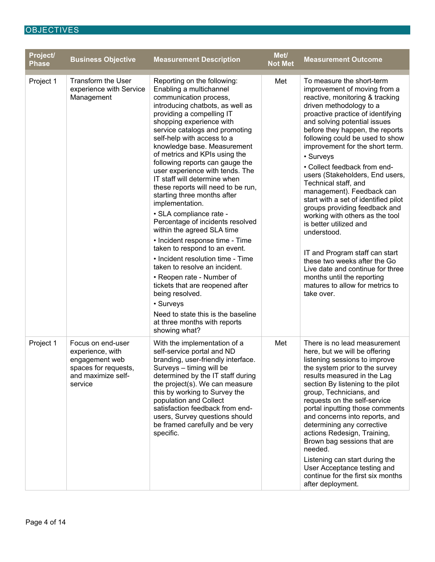# **OBJECTIVES**

| Project/<br><b>Phase</b> | <b>Business Objective</b>                                                                                        | <b>Measurement Description</b>                                                                                                                                                                                                                                                                                                                                                                                                                                                                                                                                                                                                                                                                                                                                                                                                                                                                                                            | Met/<br><b>Not Met</b> | <b>Measurement Outcome</b>                                                                                                                                                                                                                                                                                                                                                                                                                                                                                                                                                                                                                                                                                                                                                           |
|--------------------------|------------------------------------------------------------------------------------------------------------------|-------------------------------------------------------------------------------------------------------------------------------------------------------------------------------------------------------------------------------------------------------------------------------------------------------------------------------------------------------------------------------------------------------------------------------------------------------------------------------------------------------------------------------------------------------------------------------------------------------------------------------------------------------------------------------------------------------------------------------------------------------------------------------------------------------------------------------------------------------------------------------------------------------------------------------------------|------------------------|--------------------------------------------------------------------------------------------------------------------------------------------------------------------------------------------------------------------------------------------------------------------------------------------------------------------------------------------------------------------------------------------------------------------------------------------------------------------------------------------------------------------------------------------------------------------------------------------------------------------------------------------------------------------------------------------------------------------------------------------------------------------------------------|
| Project 1                | <b>Transform the User</b><br>experience with Service<br>Management                                               | Reporting on the following:<br>Enabling a multichannel<br>communication process,<br>introducing chatbots, as well as<br>providing a compelling IT<br>shopping experience with<br>service catalogs and promoting<br>self-help with access to a<br>knowledge base. Measurement<br>of metrics and KPIs using the<br>following reports can gauge the<br>user experience with tends. The<br>IT staff will determine when<br>these reports will need to be run,<br>starting three months after<br>implementation.<br>• SLA compliance rate -<br>Percentage of incidents resolved<br>within the agreed SLA time<br>• Incident response time - Time<br>taken to respond to an event.<br>• Incident resolution time - Time<br>taken to resolve an incident.<br>• Reopen rate - Number of<br>tickets that are reopened after<br>being resolved.<br>• Surveys<br>Need to state this is the baseline<br>at three months with reports<br>showing what? | Met                    | To measure the short-term<br>improvement of moving from a<br>reactive, monitoring & tracking<br>driven methodology to a<br>proactive practice of identifying<br>and solving potential issues<br>before they happen, the reports<br>following could be used to show<br>improvement for the short term.<br>• Surveys<br>• Collect feedback from end-<br>users (Stakeholders, End users,<br>Technical staff, and<br>management). Feedback can<br>start with a set of identified pilot<br>groups providing feedback and<br>working with others as the tool<br>is better utilized and<br>understood.<br>IT and Program staff can start<br>these two weeks after the Go<br>Live date and continue for three<br>months until the reporting<br>matures to allow for metrics to<br>take over. |
| Project 1                | Focus on end-user<br>experience, with<br>engagement web<br>spaces for requests,<br>and maximize self-<br>service | With the implementation of a<br>self-service portal and ND<br>branding, user-friendly interface.<br>Surveys - timing will be<br>determined by the IT staff during<br>the project(s). We can measure<br>this by working to Survey the<br>population and Collect<br>satisfaction feedback from end-<br>users, Survey questions should<br>be framed carefully and be very<br>specific.                                                                                                                                                                                                                                                                                                                                                                                                                                                                                                                                                       | Met                    | There is no lead measurement<br>here, but we will be offering<br>listening sessions to improve<br>the system prior to the survey<br>results measured in the Lag<br>section By listening to the pilot<br>group, Technicians, and<br>requests on the self-service<br>portal inputting those comments<br>and concerns into reports, and<br>determining any corrective<br>actions Redesign, Training,<br>Brown bag sessions that are<br>needed.<br>Listening can start during the<br>User Acceptance testing and<br>continue for the first six months<br>after deployment.                                                                                                                                                                                                               |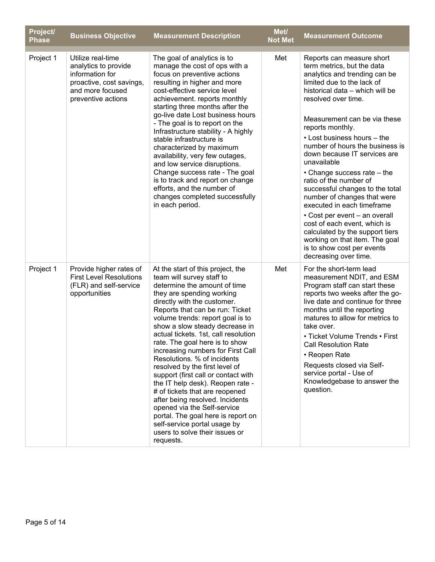| Project/<br><b>Phase</b> | <b>Business Objective</b>                                                                                                          | <b>Measurement Description</b>                                                                                                                                                                                                                                                                                                                                                                                                                                                                                                                                                                                                                                                                                                                          | Met/<br><b>Not Met</b> | <b>Measurement Outcome</b>                                                                                                                                                                                                                                                                                                                                                                                                                                                                                                                                                                                                                                                                                  |
|--------------------------|------------------------------------------------------------------------------------------------------------------------------------|---------------------------------------------------------------------------------------------------------------------------------------------------------------------------------------------------------------------------------------------------------------------------------------------------------------------------------------------------------------------------------------------------------------------------------------------------------------------------------------------------------------------------------------------------------------------------------------------------------------------------------------------------------------------------------------------------------------------------------------------------------|------------------------|-------------------------------------------------------------------------------------------------------------------------------------------------------------------------------------------------------------------------------------------------------------------------------------------------------------------------------------------------------------------------------------------------------------------------------------------------------------------------------------------------------------------------------------------------------------------------------------------------------------------------------------------------------------------------------------------------------------|
| Project 1                | Utilize real-time<br>analytics to provide<br>information for<br>proactive, cost savings,<br>and more focused<br>preventive actions | The goal of analytics is to<br>manage the cost of ops with a<br>focus on preventive actions<br>resulting in higher and more<br>cost-effective service level<br>achievement. reports monthly<br>starting three months after the<br>go-live date Lost business hours<br>- The goal is to report on the<br>Infrastructure stability - A highly<br>stable infrastructure is<br>characterized by maximum<br>availability, very few outages,<br>and low service disruptions.<br>Change success rate - The goal<br>is to track and report on change<br>efforts, and the number of<br>changes completed successfully<br>in each period.                                                                                                                         | Met                    | Reports can measure short<br>term metrics, but the data<br>analytics and trending can be<br>limited due to the lack of<br>historical data - which will be<br>resolved over time.<br>Measurement can be via these<br>reports monthly.<br>• Lost business hours - the<br>number of hours the business is<br>down because IT services are<br>unavailable<br>• Change success rate - the<br>ratio of the number of<br>successful changes to the total<br>number of changes that were<br>executed in each timeframe<br>• Cost per event - an overall<br>cost of each event, which is<br>calculated by the support tiers<br>working on that item. The goal<br>is to show cost per events<br>decreasing over time. |
| Project 1                | Provide higher rates of<br><b>First Level Resolutions</b><br>(FLR) and self-service<br>opportunities                               | At the start of this project, the<br>team will survey staff to<br>determine the amount of time<br>they are spending working<br>directly with the customer.<br>Reports that can be run: Ticket<br>volume trends: report goal is to<br>show a slow steady decrease in<br>actual tickets. 1st, call resolution<br>rate. The goal here is to show<br>increasing numbers for First Call<br>Resolutions. % of incidents<br>resolved by the first level of<br>support (first call or contact with<br>the IT help desk). Reopen rate -<br># of tickets that are reopened<br>after being resolved. Incidents<br>opened via the Self-service<br>portal. The goal here is report on<br>self-service portal usage by<br>users to solve their issues or<br>requests. | Met                    | For the short-term lead<br>measurement NDIT, and ESM<br>Program staff can start these<br>reports two weeks after the go-<br>live date and continue for three<br>months until the reporting<br>matures to allow for metrics to<br>take over.<br>• Ticket Volume Trends • First<br><b>Call Resolution Rate</b><br>• Reopen Rate<br>Requests closed via Self-<br>service portal - Use of<br>Knowledgebase to answer the<br>question.                                                                                                                                                                                                                                                                           |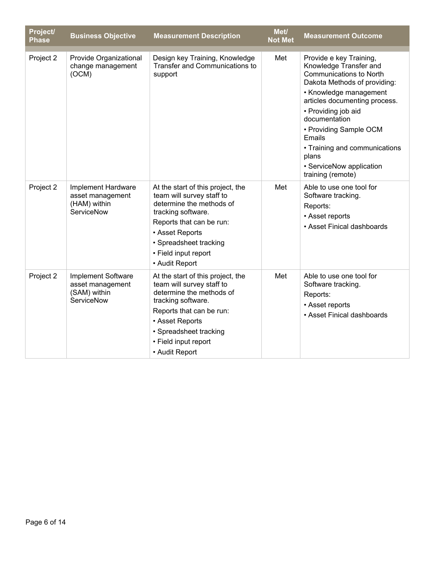| Project/<br><b>Phase</b> | <b>Business Objective</b>                                                   | <b>Measurement Description</b>                                                                                                                                                                                                      | Met/<br><b>Not Met</b> | <b>Measurement Outcome</b>                                                                                                                                                                                                                                                                                                                            |
|--------------------------|-----------------------------------------------------------------------------|-------------------------------------------------------------------------------------------------------------------------------------------------------------------------------------------------------------------------------------|------------------------|-------------------------------------------------------------------------------------------------------------------------------------------------------------------------------------------------------------------------------------------------------------------------------------------------------------------------------------------------------|
| Project 2                | Provide Organizational<br>change management<br>(OCM)                        | Design key Training, Knowledge<br>Transfer and Communications to<br>support                                                                                                                                                         | Met                    | Provide e key Training,<br>Knowledge Transfer and<br><b>Communications to North</b><br>Dakota Methods of providing:<br>• Knowledge management<br>articles documenting process.<br>• Providing job aid<br>documentation<br>• Providing Sample OCM<br>Emails<br>• Training and communications<br>plans<br>• ServiceNow application<br>training (remote) |
| Project 2                | Implement Hardware<br>asset management<br>(HAM) within<br>ServiceNow        | At the start of this project, the<br>team will survey staff to<br>determine the methods of<br>tracking software.<br>Reports that can be run:<br>• Asset Reports<br>• Spreadsheet tracking<br>• Field input report<br>• Audit Report | Met                    | Able to use one tool for<br>Software tracking.<br>Reports:<br>• Asset reports<br>• Asset Finical dashboards                                                                                                                                                                                                                                           |
| Project 2                | <b>Implement Software</b><br>asset management<br>(SAM) within<br>ServiceNow | At the start of this project, the<br>team will survey staff to<br>determine the methods of<br>tracking software.<br>Reports that can be run:<br>• Asset Reports<br>• Spreadsheet tracking<br>• Field input report<br>• Audit Report | Met                    | Able to use one tool for<br>Software tracking.<br>Reports:<br>• Asset reports<br>• Asset Finical dashboards                                                                                                                                                                                                                                           |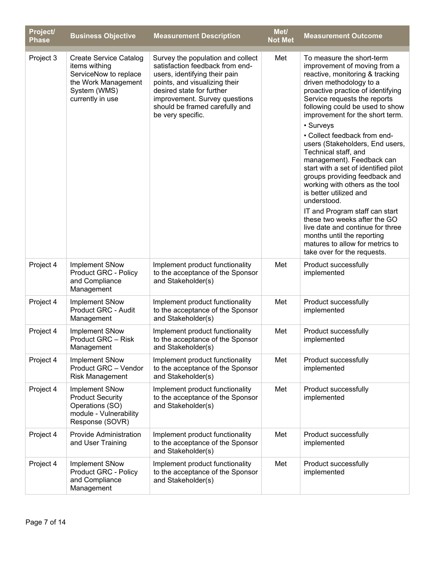| Project/<br><b>Phase</b> | <b>Business Objective</b>                                                                                                          | <b>Measurement Description</b>                                                                                                                                                                                                                              | Met/<br><b>Not Met</b> | <b>Measurement Outcome</b>                                                                                                                                                                                                                                                                                                                                                                                                                                                                                                                                                                                                                                                                                                                                         |
|--------------------------|------------------------------------------------------------------------------------------------------------------------------------|-------------------------------------------------------------------------------------------------------------------------------------------------------------------------------------------------------------------------------------------------------------|------------------------|--------------------------------------------------------------------------------------------------------------------------------------------------------------------------------------------------------------------------------------------------------------------------------------------------------------------------------------------------------------------------------------------------------------------------------------------------------------------------------------------------------------------------------------------------------------------------------------------------------------------------------------------------------------------------------------------------------------------------------------------------------------------|
| Project 3                | <b>Create Service Catalog</b><br>items withing<br>ServiceNow to replace<br>the Work Management<br>System (WMS)<br>currently in use | Survey the population and collect<br>satisfaction feedback from end-<br>users, identifying their pain<br>points, and visualizing their<br>desired state for further<br>improvement. Survey questions<br>should be framed carefully and<br>be very specific. | Met                    | To measure the short-term<br>improvement of moving from a<br>reactive, monitoring & tracking<br>driven methodology to a<br>proactive practice of identifying<br>Service requests the reports<br>following could be used to show<br>improvement for the short term.<br>• Surveys<br>• Collect feedback from end-<br>users (Stakeholders, End users,<br>Technical staff, and<br>management). Feedback can<br>start with a set of identified pilot<br>groups providing feedback and<br>working with others as the tool<br>is better utilized and<br>understood.<br>IT and Program staff can start<br>these two weeks after the GO<br>live date and continue for three<br>months until the reporting<br>matures to allow for metrics to<br>take over for the requests. |
| Project 4                | <b>Implement SNow</b><br><b>Product GRC - Policy</b><br>and Compliance<br>Management                                               | Implement product functionality<br>to the acceptance of the Sponsor<br>and Stakeholder(s)                                                                                                                                                                   | Met                    | Product successfully<br>implemented                                                                                                                                                                                                                                                                                                                                                                                                                                                                                                                                                                                                                                                                                                                                |
| Project 4                | <b>Implement SNow</b><br>Product GRC - Audit<br>Management                                                                         | Implement product functionality<br>to the acceptance of the Sponsor<br>and Stakeholder(s)                                                                                                                                                                   | Met                    | Product successfully<br>implemented                                                                                                                                                                                                                                                                                                                                                                                                                                                                                                                                                                                                                                                                                                                                |
| Project 4                | <b>Implement SNow</b><br>Product GRC - Risk<br>Management                                                                          | Implement product functionality<br>to the acceptance of the Sponsor<br>and Stakeholder(s)                                                                                                                                                                   | Met                    | Product successfully<br>implemented                                                                                                                                                                                                                                                                                                                                                                                                                                                                                                                                                                                                                                                                                                                                |
| Project 4                | <b>Implement SNow</b><br>Product GRC - Vendor<br><b>Risk Management</b>                                                            | Implement product functionality<br>to the acceptance of the Sponsor<br>and Stakeholder(s)                                                                                                                                                                   | Met                    | Product successfully<br>implemented                                                                                                                                                                                                                                                                                                                                                                                                                                                                                                                                                                                                                                                                                                                                |
| Project 4                | <b>Implement SNow</b><br><b>Product Security</b><br>Operations (SO)<br>module - Vulnerability<br>Response (SOVR)                   | Implement product functionality<br>to the acceptance of the Sponsor<br>and Stakeholder(s)                                                                                                                                                                   | Met                    | Product successfully<br>implemented                                                                                                                                                                                                                                                                                                                                                                                                                                                                                                                                                                                                                                                                                                                                |
| Project 4                | <b>Provide Administration</b><br>and User Training                                                                                 | Implement product functionality<br>to the acceptance of the Sponsor<br>and Stakeholder(s)                                                                                                                                                                   | Met                    | Product successfully<br>implemented                                                                                                                                                                                                                                                                                                                                                                                                                                                                                                                                                                                                                                                                                                                                |
| Project 4                | <b>Implement SNow</b><br><b>Product GRC - Policy</b><br>and Compliance<br>Management                                               | Implement product functionality<br>to the acceptance of the Sponsor<br>and Stakeholder(s)                                                                                                                                                                   | Met                    | Product successfully<br>implemented                                                                                                                                                                                                                                                                                                                                                                                                                                                                                                                                                                                                                                                                                                                                |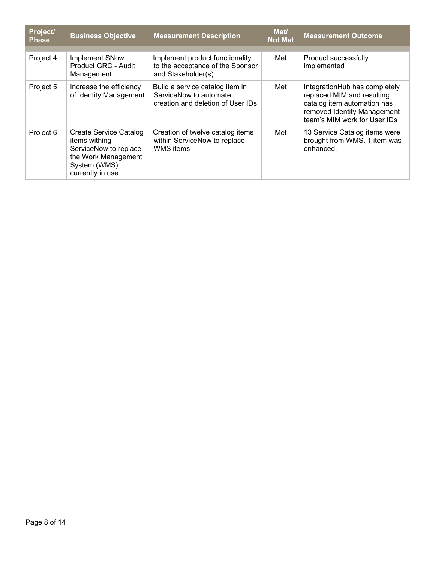| Project/<br><b>Phase</b> | <b>Business Objective</b>                                                                                                   | <b>Measurement Description</b>                                                                 | Met/<br><b>Not Met</b> | <b>Measurement Outcome</b>                                                                                                                                |
|--------------------------|-----------------------------------------------------------------------------------------------------------------------------|------------------------------------------------------------------------------------------------|------------------------|-----------------------------------------------------------------------------------------------------------------------------------------------------------|
| Project 4                | Implement SNow<br>Product GRC - Audit<br>Management                                                                         | Implement product functionality<br>to the acceptance of the Sponsor<br>and Stakeholder(s)      | Met                    | Product successfully<br>implemented                                                                                                                       |
| Project 5                | Increase the efficiency<br>of Identity Management                                                                           | Build a service catalog item in<br>ServiceNow to automate<br>creation and deletion of User IDs | Met                    | IntegrationHub has completely<br>replaced MIM and resulting<br>catalog item automation has<br>removed Identity Management<br>team's MIM work for User IDs |
| Project 6                | Create Service Catalog<br>items withing<br>ServiceNow to replace<br>the Work Management<br>System (WMS)<br>currently in use | Creation of twelve catalog items<br>within ServiceNow to replace<br>WMS items                  | Met                    | 13 Service Catalog items were<br>brought from WMS. 1 item was<br>enhanced.                                                                                |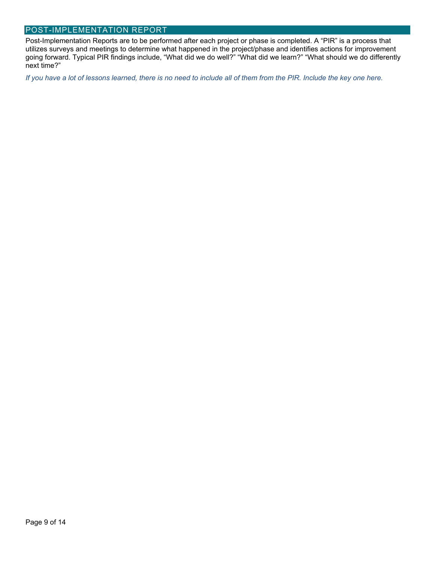#### POST-IMPLEMENTATION REPORT

Post-Implementation Reports are to be performed after each project or phase is completed. A "PIR" is a process that utilizes surveys and meetings to determine what happened in the project/phase and identifies actions for improvement going forward. Typical PIR findings include, "What did we do well?" "What did we learn?" "What should we do differently next time?"

*If you have a lot of lessons learned, there is no need to include all of them from the PIR. Include the key one here.*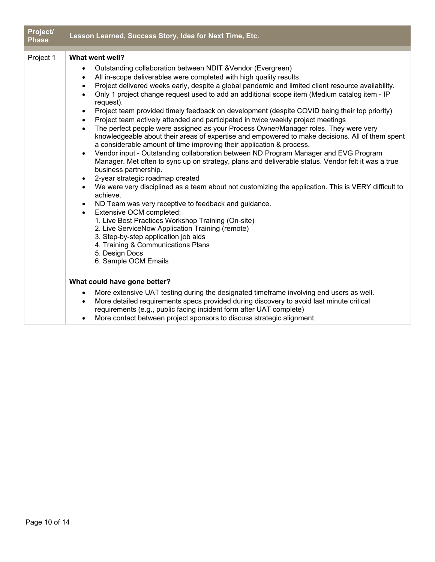| Project/<br><b>Phase</b> | Lesson Learned, Success Story, Idea for Next Time, Etc.                                                                                                                                                                                                                                                                                                                                                                                                                                                                                                                                                                                                                                                                                                                                                                                                                                                                                                                                                                                                                                                                                                                                                                                                                                                                                                                                                                                                                                                                                                                                                                                                               |
|--------------------------|-----------------------------------------------------------------------------------------------------------------------------------------------------------------------------------------------------------------------------------------------------------------------------------------------------------------------------------------------------------------------------------------------------------------------------------------------------------------------------------------------------------------------------------------------------------------------------------------------------------------------------------------------------------------------------------------------------------------------------------------------------------------------------------------------------------------------------------------------------------------------------------------------------------------------------------------------------------------------------------------------------------------------------------------------------------------------------------------------------------------------------------------------------------------------------------------------------------------------------------------------------------------------------------------------------------------------------------------------------------------------------------------------------------------------------------------------------------------------------------------------------------------------------------------------------------------------------------------------------------------------------------------------------------------------|
| Project 1                | What went well?<br>Outstanding collaboration between NDIT & Vendor (Evergreen)<br>$\bullet$<br>All in-scope deliverables were completed with high quality results.<br>$\bullet$<br>Project delivered weeks early, despite a global pandemic and limited client resource availability.<br>$\bullet$<br>Only 1 project change request used to add an additional scope item (Medium catalog item - IP<br>$\bullet$<br>request).<br>Project team provided timely feedback on development (despite COVID being their top priority)<br>Project team actively attended and participated in twice weekly project meetings<br>$\bullet$<br>The perfect people were assigned as your Process Owner/Manager roles. They were very<br>$\bullet$<br>knowledgeable about their areas of expertise and empowered to make decisions. All of them spent<br>a considerable amount of time improving their application & process.<br>Vendor input - Outstanding collaboration between ND Program Manager and EVG Program<br>$\bullet$<br>Manager. Met often to sync up on strategy, plans and deliverable status. Vendor felt it was a true<br>business partnership.<br>2-year strategic roadmap created<br>We were very disciplined as a team about not customizing the application. This is VERY difficult to<br>$\bullet$<br>achieve.<br>ND Team was very receptive to feedback and guidance.<br>$\bullet$<br>Extensive OCM completed:<br>$\bullet$<br>1. Live Best Practices Workshop Training (On-site)<br>2. Live ServiceNow Application Training (remote)<br>3. Step-by-step application job aids<br>4. Training & Communications Plans<br>5. Design Docs<br>6. Sample OCM Emails |
|                          | What could have gone better?<br>More extensive UAT testing during the designated timeframe involving end users as well.<br>$\bullet$<br>More detailed requirements specs provided during discovery to avoid last minute critical<br>requirements (e.g., public facing incident form after UAT complete)<br>More contact between project sponsors to discuss strategic alignment                                                                                                                                                                                                                                                                                                                                                                                                                                                                                                                                                                                                                                                                                                                                                                                                                                                                                                                                                                                                                                                                                                                                                                                                                                                                                       |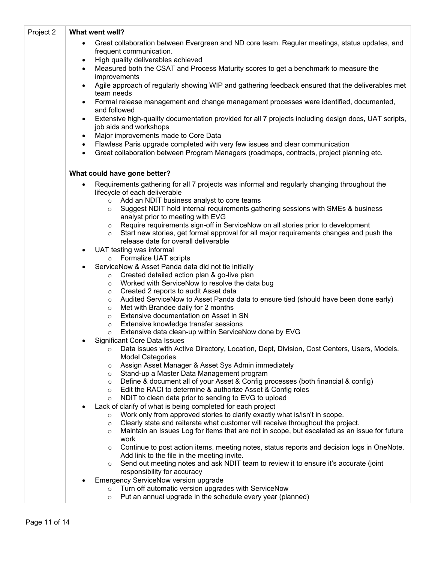| Project 2 | What went well?                                                                                                                             |  |  |  |  |
|-----------|---------------------------------------------------------------------------------------------------------------------------------------------|--|--|--|--|
|           | Great collaboration between Evergreen and ND core team. Regular meetings, status updates, and<br>$\bullet$<br>frequent communication.       |  |  |  |  |
|           | High quality deliverables achieved<br>$\bullet$                                                                                             |  |  |  |  |
|           | Measured both the CSAT and Process Maturity scores to get a benchmark to measure the<br>$\bullet$                                           |  |  |  |  |
|           | improvements                                                                                                                                |  |  |  |  |
|           | Agile approach of regularly showing WIP and gathering feedback ensured that the deliverables met<br>$\bullet$<br>team needs                 |  |  |  |  |
|           | Formal release management and change management processes were identified, documented,<br>$\bullet$<br>and followed                         |  |  |  |  |
|           | Extensive high-quality documentation provided for all 7 projects including design docs, UAT scripts,<br>$\bullet$<br>job aids and workshops |  |  |  |  |
|           | Major improvements made to Core Data<br>$\bullet$                                                                                           |  |  |  |  |
|           | Flawless Paris upgrade completed with very few issues and clear communication<br>$\bullet$                                                  |  |  |  |  |
|           | Great collaboration between Program Managers (roadmaps, contracts, project planning etc.<br>$\bullet$                                       |  |  |  |  |
|           | What could have gone better?                                                                                                                |  |  |  |  |
|           | Requirements gathering for all 7 projects was informal and regularly changing throughout the                                                |  |  |  |  |
|           | lifecycle of each deliverable                                                                                                               |  |  |  |  |
|           | Add an NDIT business analyst to core teams<br>$\circ$                                                                                       |  |  |  |  |
|           | Suggest NDIT hold internal requirements gathering sessions with SMEs & business<br>$\circ$<br>analyst prior to meeting with EVG             |  |  |  |  |
|           | Require requirements sign-off in ServiceNow on all stories prior to development<br>$\circ$                                                  |  |  |  |  |
|           | Start new stories, get formal approval for all major requirements changes and push the<br>$\circ$                                           |  |  |  |  |
|           | release date for overall deliverable                                                                                                        |  |  |  |  |
|           | UAT testing was informal<br>$\bullet$                                                                                                       |  |  |  |  |
|           | Formalize UAT scripts<br>$\circ$                                                                                                            |  |  |  |  |
|           | ServiceNow & Asset Panda data did not tie initially                                                                                         |  |  |  |  |
|           | Created detailed action plan & go-live plan<br>$\circ$                                                                                      |  |  |  |  |
|           | Worked with ServiceNow to resolve the data bug<br>$\circ$                                                                                   |  |  |  |  |
|           | Created 2 reports to audit Asset data<br>$\circ$                                                                                            |  |  |  |  |
|           | Audited ServiceNow to Asset Panda data to ensure tied (should have been done early)<br>$\circ$<br>Met with Brandee daily for 2 months       |  |  |  |  |
|           | $\circ$<br>Extensive documentation on Asset in SN<br>$\circ$                                                                                |  |  |  |  |
|           | Extensive knowledge transfer sessions<br>$\circ$                                                                                            |  |  |  |  |
|           | Extensive data clean-up within ServiceNow done by EVG<br>$\circ$                                                                            |  |  |  |  |
|           | <b>Significant Core Data Issues</b><br>$\bullet$                                                                                            |  |  |  |  |
|           | Data issues with Active Directory, Location, Dept, Division, Cost Centers, Users, Models.<br>$\circ$<br><b>Model Categories</b>             |  |  |  |  |
|           | Assign Asset Manager & Asset Sys Admin immediately<br>$\circ$                                                                               |  |  |  |  |
|           | Stand-up a Master Data Management program<br>$\circ$                                                                                        |  |  |  |  |
|           | Define & document all of your Asset & Config processes (both financial & config)<br>$\circ$                                                 |  |  |  |  |
|           | Edit the RACI to determine & authorize Asset & Config roles<br>$\circ$                                                                      |  |  |  |  |
|           | NDIT to clean data prior to sending to EVG to upload<br>$\circ$                                                                             |  |  |  |  |
|           | Lack of clarify of what is being completed for each project                                                                                 |  |  |  |  |
|           | Work only from approved stories to clarify exactly what is/isn't in scope.<br>$\circ$                                                       |  |  |  |  |
|           | Clearly state and reiterate what customer will receive throughout the project.<br>$\circ$                                                   |  |  |  |  |
|           | Maintain an Issues Log for items that are not in scope, but escalated as an issue for future<br>$\circ$<br>work                             |  |  |  |  |
|           | Continue to post action items, meeting notes, status reports and decision logs in OneNote.<br>$\circ$                                       |  |  |  |  |
|           | Add link to the file in the meeting invite.                                                                                                 |  |  |  |  |
|           | Send out meeting notes and ask NDIT team to review it to ensure it's accurate (joint<br>$\circ$                                             |  |  |  |  |
|           | responsibility for accuracy                                                                                                                 |  |  |  |  |
|           | Emergency ServiceNow version upgrade                                                                                                        |  |  |  |  |
|           | Turn off automatic version upgrades with ServiceNow<br>$\circ$                                                                              |  |  |  |  |
|           | Put an annual upgrade in the schedule every year (planned)<br>$\circ$                                                                       |  |  |  |  |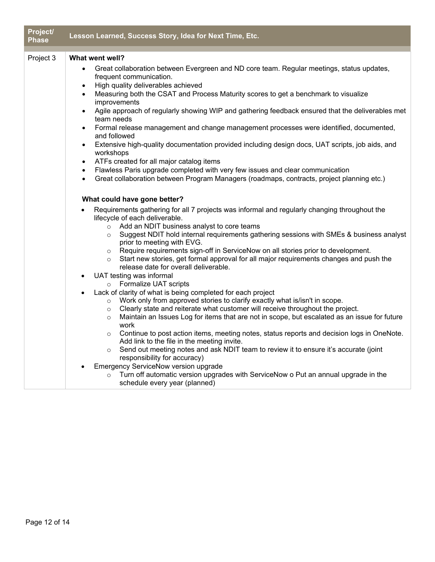| Project/<br><b>Phase</b> | Lesson Learned, Success Story, Idea for Next Time, Etc.                                                                                                                                                                                                                                                                                                                                                                                                                                                                                                                                                                                                                                                                                                                                                                                                                                                                                                                                                                                                                                                                                                                                                                                                                                                                      |  |
|--------------------------|------------------------------------------------------------------------------------------------------------------------------------------------------------------------------------------------------------------------------------------------------------------------------------------------------------------------------------------------------------------------------------------------------------------------------------------------------------------------------------------------------------------------------------------------------------------------------------------------------------------------------------------------------------------------------------------------------------------------------------------------------------------------------------------------------------------------------------------------------------------------------------------------------------------------------------------------------------------------------------------------------------------------------------------------------------------------------------------------------------------------------------------------------------------------------------------------------------------------------------------------------------------------------------------------------------------------------|--|
| Project 3                | What went well?                                                                                                                                                                                                                                                                                                                                                                                                                                                                                                                                                                                                                                                                                                                                                                                                                                                                                                                                                                                                                                                                                                                                                                                                                                                                                                              |  |
|                          | Great collaboration between Evergreen and ND core team. Regular meetings, status updates,<br>$\bullet$<br>frequent communication.<br>High quality deliverables achieved<br>Measuring both the CSAT and Process Maturity scores to get a benchmark to visualize<br>$\bullet$<br>improvements<br>Agile approach of regularly showing WIP and gathering feedback ensured that the deliverables met<br>$\bullet$<br>team needs<br>Formal release management and change management processes were identified, documented,<br>$\bullet$<br>and followed<br>Extensive high-quality documentation provided including design docs, UAT scripts, job aids, and<br>$\bullet$<br>workshops<br>ATFs created for all major catalog items<br>$\bullet$<br>Flawless Paris upgrade completed with very few issues and clear communication<br>$\bullet$<br>Great collaboration between Program Managers (roadmaps, contracts, project planning etc.)<br>$\bullet$                                                                                                                                                                                                                                                                                                                                                                              |  |
|                          | What could have gone better?                                                                                                                                                                                                                                                                                                                                                                                                                                                                                                                                                                                                                                                                                                                                                                                                                                                                                                                                                                                                                                                                                                                                                                                                                                                                                                 |  |
|                          | Requirements gathering for all 7 projects was informal and regularly changing throughout the<br>lifecycle of each deliverable.<br>Add an NDIT business analyst to core teams<br>$\circ$<br>Suggest NDIT hold internal requirements gathering sessions with SMEs & business analyst<br>$\circ$<br>prior to meeting with EVG.<br>Require requirements sign-off in ServiceNow on all stories prior to development.<br>$\circ$<br>Start new stories, get formal approval for all major requirements changes and push the<br>$\circ$<br>release date for overall deliverable.<br>UAT testing was informal<br>$\bullet$<br>o Formalize UAT scripts<br>Lack of clarity of what is being completed for each project<br>$\bullet$<br>Work only from approved stories to clarify exactly what is/isn't in scope.<br>$\circ$<br>Clearly state and reiterate what customer will receive throughout the project.<br>$\circ$<br>Maintain an Issues Log for items that are not in scope, but escalated as an issue for future<br>$\circ$<br>work<br>Continue to post action items, meeting notes, status reports and decision logs in OneNote.<br>$\circ$<br>Add link to the file in the meeting invite.<br>Send out meeting notes and ask NDIT team to review it to ensure it's accurate (joint<br>$\circ$<br>responsibility for accuracy) |  |
|                          | Emergency ServiceNow version upgrade<br>$\bullet$<br>Turn off automatic version upgrades with ServiceNow o Put an annual upgrade in the<br>$\circ$<br>schedule every year (planned)                                                                                                                                                                                                                                                                                                                                                                                                                                                                                                                                                                                                                                                                                                                                                                                                                                                                                                                                                                                                                                                                                                                                          |  |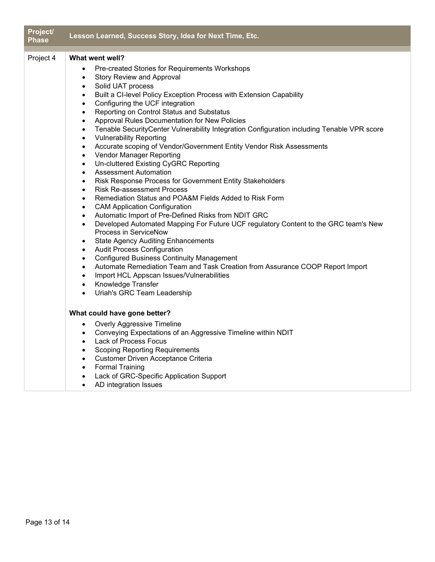| Project/<br><b>Phase</b> | Lesson Learned, Success Story, Idea for Next Time, Etc.                                                                   |
|--------------------------|---------------------------------------------------------------------------------------------------------------------------|
| Project 4                | What went well?                                                                                                           |
|                          | Pre-created Stories for Requirements Workshops<br>$\bullet$                                                               |
|                          | <b>Story Review and Approval</b><br>$\bullet$                                                                             |
|                          | Solid UAT process<br>$\bullet$                                                                                            |
|                          | Built a CI-level Policy Exception Process with Extension Capability<br>$\bullet$                                          |
|                          | Configuring the UCF integration<br>$\bullet$                                                                              |
|                          | Reporting on Control Status and Substatus<br>$\bullet$                                                                    |
|                          | Approval Rules Documentation for New Policies<br>$\bullet$                                                                |
|                          | Tenable SecurityCenter Vulnerability Integration Configuration including Tenable VPR score<br>$\bullet$                   |
|                          | <b>Vulnerability Reporting</b><br>$\bullet$                                                                               |
|                          | Accurate scoping of Vendor/Government Entity Vendor Risk Assessments<br>$\bullet$                                         |
|                          | Vendor Manager Reporting<br>$\bullet$                                                                                     |
|                          | Un-cluttered Existing CyGRC Reporting<br>$\bullet$                                                                        |
|                          | <b>Assessment Automation</b><br>$\bullet$                                                                                 |
|                          | Risk Response Process for Government Entity Stakeholders<br>$\bullet$                                                     |
|                          | <b>Risk Re-assessment Process</b><br>$\bullet$                                                                            |
|                          | Remediation Status and POA&M Fields Added to Risk Form<br>$\bullet$                                                       |
|                          | <b>CAM Application Configuration</b><br>$\bullet$                                                                         |
|                          | Automatic Import of Pre-Defined Risks from NDIT GRC<br>$\bullet$                                                          |
|                          | Developed Automated Mapping For Future UCF regulatory Content to the GRC team's New<br>$\bullet$<br>Process in ServiceNow |
|                          |                                                                                                                           |
|                          | <b>State Agency Auditing Enhancements</b><br>$\bullet$<br><b>Audit Process Configuration</b>                              |
|                          | $\bullet$<br><b>Configured Business Continuity Management</b><br>$\bullet$                                                |
|                          | Automate Remediation Team and Task Creation from Assurance COOP Report Import<br>$\bullet$                                |
|                          | Import HCL Appscan Issues/Vulnerabilities<br>$\bullet$                                                                    |
|                          | Knowledge Transfer<br>$\bullet$                                                                                           |
|                          | Uriah's GRC Team Leadership<br>$\bullet$                                                                                  |
|                          |                                                                                                                           |
|                          | What could have gone better?                                                                                              |
|                          | <b>Overly Aggressive Timeline</b><br>$\bullet$                                                                            |
|                          | Conveying Expectations of an Aggressive Timeline within NDIT<br>$\bullet$                                                 |
|                          | Lack of Process Focus<br>$\bullet$                                                                                        |
|                          | <b>Scoping Reporting Requirements</b><br>$\bullet$                                                                        |
|                          | Customer Driven Acceptance Criteria<br>$\bullet$                                                                          |
|                          | <b>Formal Training</b><br>$\bullet$                                                                                       |
|                          | Lack of GRC-Specific Application Support                                                                                  |

• AD integration Issues